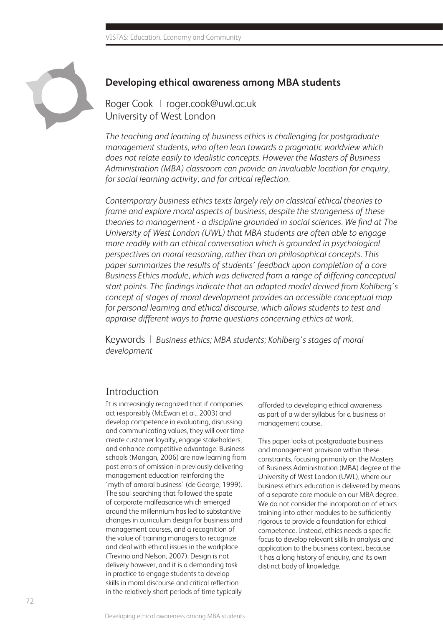

#### **Developing ethical awareness among MBA students**

Roger Cook | roger.cook@uwl.ac.uk University of West London

*The teaching and learning of business ethics is challenging for postgraduate management students, who often lean towards a pragmatic worldview which does not relate easily to idealistic concepts. However the Masters of Business Administration (MBA) classroom can provide an invaluable location for enquiry, for social learning activity, and for critical reflection.* 

*Contemporary business ethics texts largely rely on classical ethical theories to frame and explore moral aspects of business, despite the strangeness of these theories to management - a discipline grounded in social sciences. We find at The University of West London (UWL) that MBA students are often able to engage more readily with an ethical conversation which is grounded in psychological perspectives on moral reasoning, rather than on philosophical concepts. This paper summarizes the results of students' feedback upon completion of a core Business Ethics module, which was delivered from a range of differing conceptual start points. The findings indicate that an adapted model derived from Kohlberg's concept of stages of moral development provides an accessible conceptual map for personal learning and ethical discourse, which allows students to test and appraise different ways to frame questions concerning ethics at work.* 

Keywords | *Business ethics; MBA students; Kohlberg's stages of moral development*

## Introduction

It is increasingly recognized that if companies act responsibly (McEwan et al., 2003) and develop competence in evaluating, discussing and communicating values, they will over time create customer loyalty, engage stakeholders, and enhance competitive advantage. Business schools (Mangan, 2006) are now learning from past errors of omission in previously delivering management education reinforcing the 'myth of amoral business' (de George, 1999). The soul searching that followed the spate of corporate malfeasance which emerged around the millennium has led to substantive changes in curriculum design for business and management courses, and a recognition of the value of training managers to recognize and deal with ethical issues in the workplace (Trevino and Nelson, 2007). Design is not delivery however, and it is a demanding task in practice to engage students to develop skills in moral discourse and critical reflection in the relatively short periods of time typically

afforded to developing ethical awareness as part of a wider syllabus for a business or management course.

This paper looks at postgraduate business and management provision within these constraints, focusing primarily on the Masters of Business Administration (MBA) degree at the University of West London (UWL), where our business ethics education is delivered by means of a separate core module on our MBA degree. We do not consider the incorporation of ethics training into other modules to be sufficiently rigorous to provide a foundation for ethical competence. Instead, ethics needs a specific focus to develop relevant skills in analysis and application to the business context, because it has a long history of enquiry, and its own distinct body of knowledge.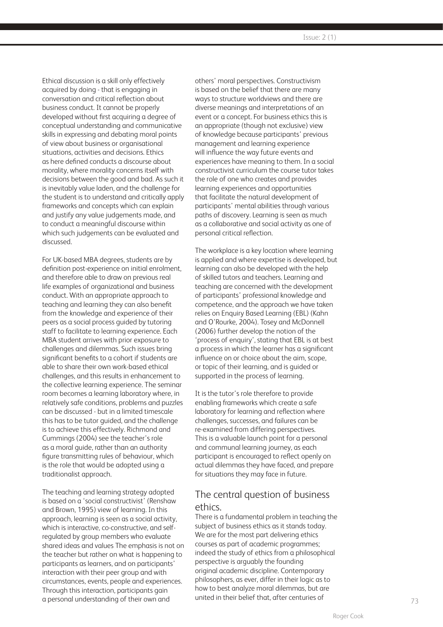Ethical discussion is a skill only effectively acquired by doing - that is engaging in conversation and critical reflection about business conduct. It cannot be properly developed without first acquiring a degree of conceptual understanding and communicative skills in expressing and debating moral points of view about business or organisational situations, activities and decisions. Ethics as here defined conducts a discourse about morality, where morality concerns itself with decisions between the good and bad. As such it is inevitably value laden, and the challenge for the student is to understand and critically apply frameworks and concepts which can explain and justify any value judgements made, and to conduct a meaningful discourse within which such judgements can be evaluated and discussed.

For UK-based MBA degrees, students are by definition post-experience on initial enrolment, and therefore able to draw on previous real life examples of organizational and business conduct. With an appropriate approach to teaching and learning they can also benefit from the knowledge and experience of their peers as a social process guided by tutoring staff to facilitate to learning experience. Each MBA student arrives with prior exposure to challenges and dilemmas. Such issues bring significant benefits to a cohort if students are able to share their own work-based ethical challenges, and this results in enhancement to the collective learning experience. The seminar room becomes a learning laboratory where, in relatively safe conditions, problems and puzzles can be discussed - but in a limited timescale this has to be tutor guided, and the challenge is to achieve this effectively. Richmond and Cummings (2004) see the teacher's role as a moral guide, rather than an authority figure transmitting rules of behaviour, which is the role that would be adopted using a traditionalist approach.

The teaching and learning strategy adopted is based on a 'social constructivist' (Renshaw and Brown, 1995) view of learning. In this approach, learning is seen as a social activity, which is interactive, co-constructive, and selfregulated by group members who evaluate shared ideas and values The emphasis is not on the teacher but rather on what is happening to participants as learners, and on participants' interaction with their peer group and with circumstances, events, people and experiences. Through this interaction, participants gain a personal understanding of their own and

others' moral perspectives. Constructivism is based on the belief that there are many ways to structure worldviews and there are diverse meanings and interpretations of an event or a concept. For business ethics this is an appropriate (though not exclusive) view of knowledge because participants' previous management and learning experience will influence the way future events and experiences have meaning to them. In a social constructivist curriculum the course tutor takes the role of one who creates and provides learning experiences and opportunities that facilitate the natural development of participants' mental abilities through various paths of discovery. Learning is seen as much as a collaborative and social activity as one of personal critical reflection.

The workplace is a key location where learning is applied and where expertise is developed, but learning can also be developed with the help of skilled tutors and teachers. Learning and teaching are concerned with the development of participants' professional knowledge and competence, and the approach we have taken relies on Enquiry Based Learning (EBL) (Kahn and O'Rourke, 2004). Tosey and McDonnell (2006) further develop the notion of the 'process of enquiry', stating that EBL is at best a process in which the learner has a significant influence on or choice about the aim, scope, or topic of their learning, and is guided or supported in the process of learning.

It is the tutor's role therefore to provide enabling frameworks which create a safe laboratory for learning and reflection where challenges, successes, and failures can be re-examined from differing perspectives. This is a valuable launch point for a personal and communal learning journey, as each participant is encouraged to reflect openly on actual dilemmas they have faced, and prepare for situations they may face in future.

## The central question of business ethics.

There is a fundamental problem in teaching the subject of business ethics as it stands today. We are for the most part delivering ethics courses as part of academic programmes; indeed the study of ethics from a philosophical perspective is arguably the founding original academic discipline. Contemporary philosophers, as ever, differ in their logic as to how to best analyze moral dilemmas, but are united in their belief that, after centuries of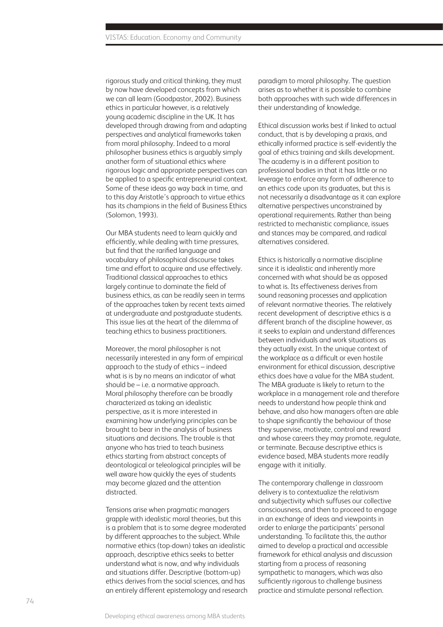rigorous study and critical thinking, they must by now have developed concepts from which we can all learn (Goodpastor, 2002). Business ethics in particular however, is a relatively young academic discipline in the UK. It has developed through drawing from and adapting perspectives and analytical frameworks taken from moral philosophy. Indeed to a moral philosopher business ethics is arguably simply another form of situational ethics where rigorous logic and appropriate perspectives can be applied to a specific entrepreneurial context. Some of these ideas go way back in time, and to this day Aristotle's approach to virtue ethics has its champions in the field of Business Ethics (Solomon, 1993).

Our MBA students need to learn quickly and efficiently, while dealing with time pressures, but find that the rarified language and vocabulary of philosophical discourse takes time and effort to acquire and use effectively. Traditional classical approaches to ethics largely continue to dominate the field of business ethics, as can be readily seen in terms of the approaches taken by recent texts aimed at undergraduate and postgraduate students. This issue lies at the heart of the dilemma of teaching ethics to business practitioners.

Moreover, the moral philosopher is not necessarily interested in any form of empirical approach to the study of ethics – indeed what is is by no means an indicator of what should be – i.e. a normative approach. Moral philosophy therefore can be broadly characterized as taking an idealistic perspective, as it is more interested in examining how underlying principles can be brought to bear in the analysis of business situations and decisions. The trouble is that anyone who has tried to teach business ethics starting from abstract concepts of deontological or teleological principles will be well aware how quickly the eyes of students may become glazed and the attention distracted.

Tensions arise when pragmatic managers grapple with idealistic moral theories, but this is a problem that is to some degree moderated by different approaches to the subject. While normative ethics (top-down) takes an idealistic approach, descriptive ethics seeks to better understand what is now, and why individuals and situations differ. Descriptive (bottom-up) ethics derives from the social sciences, and has an entirely different epistemology and research paradigm to moral philosophy. The question arises as to whether it is possible to combine both approaches with such wide differences in their understanding of knowledge.

Ethical discussion works best if linked to actual conduct, that is by developing a praxis, and ethically informed practice is self-evidently the goal of ethics training and skills development. The academy is in a different position to professional bodies in that it has little or no leverage to enforce any form of adherence to an ethics code upon its graduates, but this is not necessarily a disadvantage as it can explore alternative perspectives unconstrained by operational requirements. Rather than being restricted to mechanistic compliance, issues and stances may be compared, and radical alternatives considered.

Ethics is historically a normative discipline since it is idealistic and inherently more concerned with what should be as opposed to what is. Its effectiveness derives from sound reasoning processes and application of relevant normative theories. The relatively recent development of descriptive ethics is a different branch of the discipline however, as it seeks to explain and understand differences between individuals and work situations as they actually exist. In the unique context of the workplace as a difficult or even hostile environment for ethical discussion, descriptive ethics does have a value for the MBA student. The MBA graduate is likely to return to the workplace in a management role and therefore needs to understand how people think and behave, and also how managers often are able to shape significantly the behaviour of those they supervise, motivate, control and reward and whose careers they may promote, regulate, or terminate. Because descriptive ethics is evidence based, MBA students more readily engage with it initially.

The contemporary challenge in classroom delivery is to contextualize the relativism and subjectivity which suffuses our collective consciousness, and then to proceed to engage in an exchange of ideas and viewpoints in order to enlarge the participants' personal understanding. To facilitate this, the author aimed to develop a practical and accessible framework for ethical analysis and discussion starting from a process of reasoning sympathetic to managers, which was also sufficiently rigorous to challenge business practice and stimulate personal reflection.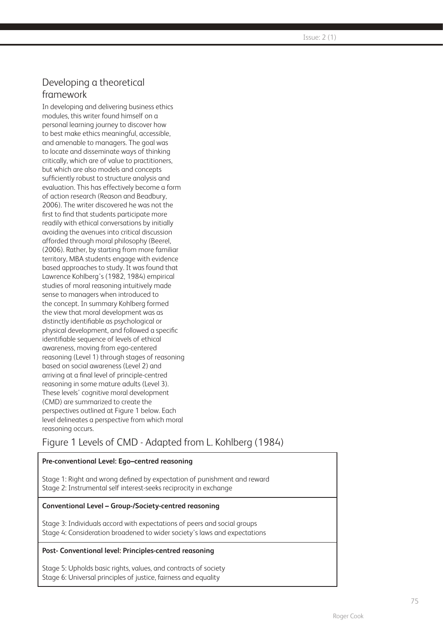$\sqrt{1}$  Issue: 2 (1)

# Developing a theoretical framework

In developing and delivering business ethics modules, this writer found himself on a personal learning journey to discover how to best make ethics meaningful, accessible, and amenable to managers. The goal was to locate and disseminate ways of thinking critically, which are of value to practitioners, but which are also models and concepts sufficiently robust to structure analysis and evaluation. This has effectively become a form of action research (Reason and Beadbury, 2006). The writer discovered he was not the first to find that students participate more readily with ethical conversations by initially avoiding the avenues into critical discussion afforded through moral philosophy (Beerel, (2006). Rather, by starting from more familiar territory, MBA students engage with evidence based approaches to study. It was found that Lawrence Kohlberg's (1982, 1984) empirical studies of moral reasoning intuitively made sense to managers when introduced to the concept. In summary Kohlberg formed the view that moral development was as distinctly identifiable as psychological or physical development, and followed a specific identifiable sequence of levels of ethical awareness, moving from ego-centered reasoning (Level 1) through stages of reasoning based on social awareness (Level 2) and arriving at a final level of principle-centred reasoning in some mature adults (Level 3). These levels' cognitive moral development (CMD) are summarized to create the perspectives outlined at Figure 1 below. Each level delineates a perspective from which moral reasoning occurs.

# Figure 1 Levels of CMD - Adapted from L. Kohlberg (1984)

#### **Pre-conventional Level: Ego–centred reasoning**

Stage 1: Right and wrong defined by expectation of punishment and reward Stage 2: Instrumental self interest-seeks reciprocity in exchange

#### **Conventional Level – Group-/Society-centred reasoning**

Stage 3: Individuals accord with expectations of peers and social groups Stage 4: Consideration broadened to wider society's laws and expectations

#### **Post- Conventional level: Principles-centred reasoning**

Stage 5: Upholds basic rights, values, and contracts of society Stage 6: Universal principles of justice, fairness and equality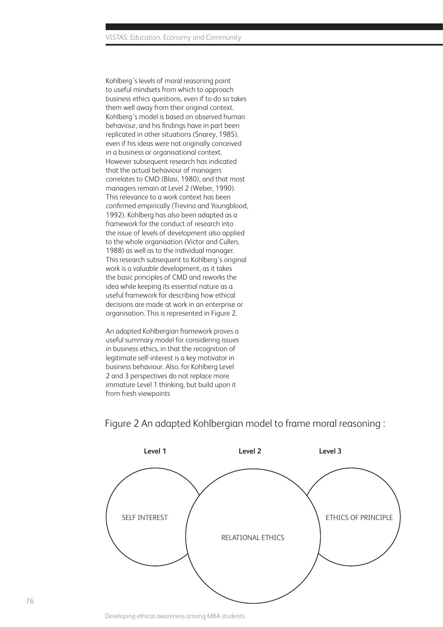Kohlberg's levels of moral reasoning point to useful mindsets from which to approach business ethics questions, even if to do so takes them well away from their original context. Kohlberg's model is based on observed human behaviour, and his findings have in part been replicated in other situations (Snarey, 1985), even if his ideas were not originally conceived in a business or organisational context. However subsequent research has indicated that the actual behaviour of managers correlates to CMD (Blasi, 1980), and that most managers remain at Level 2 (Weber, 1990). This relevance to a work context has been confirmed empirically (Trevino and Youngblood, 1992). Kohlberg has also been adapted as a framework for the conduct of research into the issue of levels of development also applied to the whole organisation (Victor and Cullen, 1988) as well as to the individual manager. This research subsequent to Kohlberg's original work is a valuable development, as it takes the basic principles of CMD and reworks the idea while keeping its essential nature as a useful framework for describing how ethical decisions are made at work in an enterprise or organisation. This is represented in Figure 2.

An adapted Kohlbergian framework proves a useful summary model for considering issues in business ethics, in that the recognition of legitimate self-interest is a key motivator in business behaviour. Also, for Kohlberg Level 2 and 3 perspectives do not replace more immature Level 1 thinking, but build upon it from fresh viewpoints



## Figure 2 An adapted Kohlbergian model to frame moral reasoning :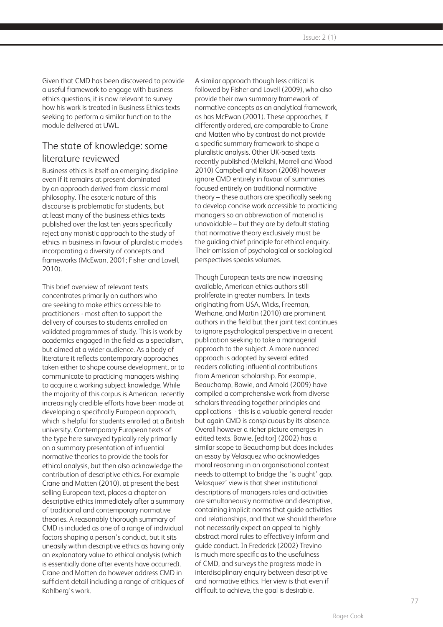Given that CMD has been discovered to provide a useful framework to engage with business ethics questions, it is now relevant to survey how his work is treated in Business Ethics texts seeking to perform a similar function to the module delivered at UWL.

## The state of knowledge: some literature reviewed

Business ethics is itself an emerging discipline even if it remains at present dominated by an approach derived from classic moral philosophy. The esoteric nature of this discourse is problematic for students, but at least many of the business ethics texts published over the last ten years specifically reject any monistic approach to the study of ethics in business in favour of pluralistic models incorporating a diversity of concepts and frameworks (McEwan, 2001; Fisher and Lovell, 2010).

This brief overview of relevant texts concentrates primarily on authors who are seeking to make ethics accessible to practitioners - most often to support the delivery of courses to students enrolled on validated programmes of study. This is work by academics engaged in the field as a specialism, but aimed at a wider audience. As a body of literature it reflects contemporary approaches taken either to shape course development, or to communicate to practicing managers wishing to acquire a working subject knowledge. While the majority of this corpus is American, recently increasingly credible efforts have been made at developing a specifically European approach, which is helpful for students enrolled at a British university. Contemporary European texts of the type here surveyed typically rely primarily on a summary presentation of influential normative theories to provide the tools for ethical analysis, but then also acknowledge the contribution of descriptive ethics. For example Crane and Matten (2010), at present the best selling European text, places a chapter on descriptive ethics immediately after a summary of traditional and contemporary normative theories. A reasonably thorough summary of CMD is included as one of a range of individual factors shaping a person's conduct, but it sits uneasily within descriptive ethics as having only an explanatory value to ethical analysis (which is essentially done after events have occurred). Crane and Matten do however address CMD in sufficient detail including a range of critiques of Kohlberg's work.

A similar approach though less critical is followed by Fisher and Lovell (2009), who also provide their own summary framework of normative concepts as an analytical framework, as has McEwan (2001). These approaches, if differently ordered, are comparable to Crane and Matten who by contrast do not provide a specific summary framework to shape a pluralistic analysis. Other UK-based texts recently published (Mellahi, Morrell and Wood 2010) Campbell and Kitson (2008) however ignore CMD entirely in favour of summaries focused entirely on traditional normative theory – these authors are specifically seeking to develop concise work accessible to practicing managers so an abbreviation of material is unavoidable – but they are by default stating that normative theory exclusively must be the guiding chief principle for ethical enquiry. Their omission of psychological or sociological perspectives speaks volumes.

Though European texts are now increasing available, American ethics authors still proliferate in greater numbers. In texts originating from USA, Wicks, Freeman, Werhane, and Martin (2010) are prominent authors in the field but their joint text continues to ignore psychological perspective in a recent publication seeking to take a managerial approach to the subject. A more nuanced approach is adopted by several edited readers collating influential contributions from American scholarship. For example, Beauchamp, Bowie, and Arnold (2009) have compiled a comprehensive work from diverse scholars threading together principles and applications - this is a valuable general reader but again CMD is conspicuous by its absence. Overall however a richer picture emerges in edited texts. Bowie, [editor] (2002) has a similar scope to Beauchamp but does includes an essay by Velasquez who acknowledges moral reasoning in an organisational context needs to attempt to bridge the 'is ought' gap. Velasquez' view is that sheer institutional descriptions of managers roles and activities are simultaneously normative and descriptive, containing implicit norms that guide activities and relationships, and that we should therefore not necessarily expect an appeal to highly abstract moral rules to effectively inform and guide conduct. In Frederick (2002) Trevino is much more specific as to the usefulness of CMD, and surveys the progress made in interdisciplinary enquiry between descriptive and normative ethics. Her view is that even if difficult to achieve, the goal is desirable.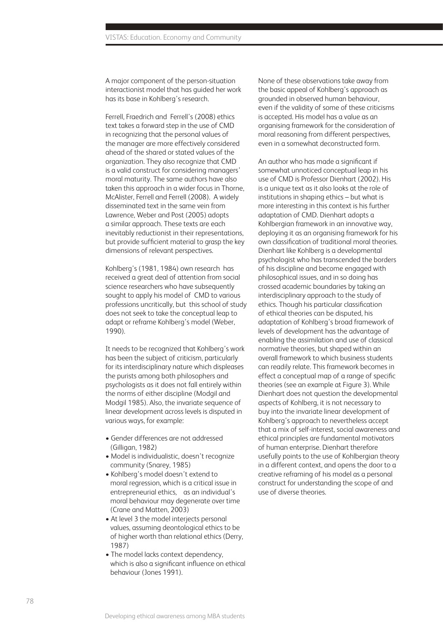A major component of the person-situation interactionist model that has guided her work has its base in Kohlberg's research.

Ferrell, Fraedrich and Ferrell's (2008) ethics text takes a forward step in the use of CMD in recognizing that the personal values of the manager are more effectively considered ahead of the shared or stated values of the organization. They also recognize that CMD is a valid construct for considering managers' moral maturity. The same authors have also taken this approach in a wider focus in Thorne, McAlister, Ferrell and Ferrell (2008). A widely disseminated text in the same vein from Lawrence, Weber and Post (2005) adopts a similar approach. These texts are each inevitably reductionist in their representations, but provide sufficient material to grasp the key dimensions of relevant perspectives.

Kohlberg's (1981, 1984) own research has received a great deal of attention from social science researchers who have subsequently sought to apply his model of CMD to various professions uncritically, but this school of study does not seek to take the conceptual leap to adapt or reframe Kohlberg's model (Weber, 1990).

It needs to be recognized that Kohlberg's work has been the subject of criticism, particularly for its interdisciplinary nature which displeases the purists among both philosophers and psychologists as it does not fall entirely within the norms of either discipline (Modgil and Modgil 1985). Also, the invariate sequence of linear development across levels is disputed in various ways, for example:

- Gender differences are not addressed (Gilligan, 1982)
- Model is individualistic, doesn't recognize community (Snarey, 1985)
- Kohlberg's model doesn't extend to moral regression, which is a critical issue in entrepreneurial ethics, as an individual's moral behaviour may degenerate over time (Crane and Matten, 2003)
- At level 3 the model interjects personal values, assuming deontological ethics to be of higher worth than relational ethics (Derry, 1987)
- The model lacks context dependency, which is also a significant influence on ethical behaviour (Jones 1991).

None of these observations take away from the basic appeal of Kohlberg's approach as grounded in observed human behaviour, even if the validity of some of these criticisms is accepted. His model has a value as an organising framework for the consideration of moral reasoning from different perspectives, even in a somewhat deconstructed form.

An author who has made a sianificant if somewhat unnoticed conceptual leap in his use of CMD is Professor Dienhart (2002). His is a unique text as it also looks at the role of institutions in shaping ethics – but what is more interesting in this context is his further adaptation of CMD. Dienhart adopts a Kohlbergian framework in an innovative way, deploying it as an organising framework for his own classification of traditional moral theories. Dienhart like Kohlberg is a developmental psychologist who has transcended the borders of his discipline and become engaged with philosophical issues, and in so doing has crossed academic boundaries by taking an interdisciplinary approach to the study of ethics. Though his particular classification of ethical theories can be disputed, his adaptation of Kohlberg's broad framework of levels of development has the advantage of enabling the assimilation and use of classical normative theories, but shaped within an overall framework to which business students can readily relate. This framework becomes in effect a conceptual map of a range of specific theories (see an example at Figure 3). While Dienhart does not question the developmental aspects of Kohlberg, it is not necessary to buy into the invariate linear development of Kohlberg's approach to nevertheless accept that a mix of self-interest, social awareness and ethical principles are fundamental motivators of human enterprise. Dienhart therefore usefully points to the use of Kohlbergian theory in a different context, and opens the door to a creative reframing of his model as a personal construct for understanding the scope of and use of diverse theories.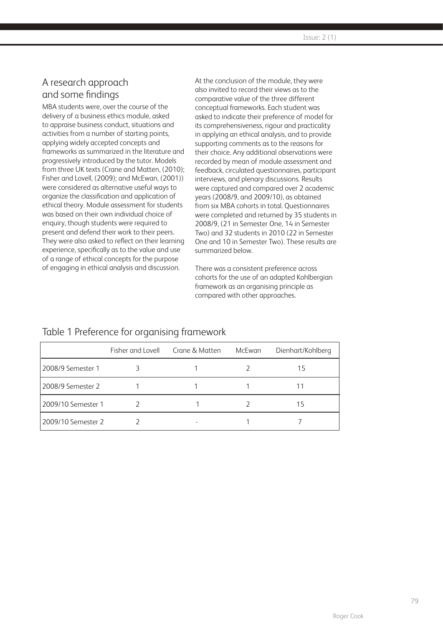# A research approach and some findings

MBA students were, over the course of the delivery of a business ethics module, asked to appraise business conduct, situations and activities from a number of starting points, applying widely accepted concepts and frameworks as summarized in the literature and progressively introduced by the tutor. Models from three UK texts (Crane and Matten, (2010); Fisher and Lovell, (2009); and McEwan, (2001)) were considered as alternative useful ways to organize the classification and application of ethical theory. Module assessment for students was based on their own individual choice of enquiry, though students were required to present and defend their work to their peers. They were also asked to reflect on their learning experience, specifically as to the value and use of a range of ethical concepts for the purpose of engaging in ethical analysis and discussion.

At the conclusion of the module, they were also invited to record their views as to the comparative value of the three different conceptual frameworks. Each student was asked to indicate their preference of model for its comprehensiveness, rigour and practicality in applying an ethical analysis, and to provide supporting comments as to the reasons for their choice. Any additional observations were recorded by mean of module assessment and feedback, circulated questionnaires, participant interviews, and plenary discussions. Results were captured and compared over 2 academic years (2008/9, and 2009/10), as obtained from six MBA cohorts in total. Questionnaires were completed and returned by 35 students in 2008/9, (21 in Semester One, 14 in Semester Two) and 32 students in 2010 (22 in Semester One and 10 in Semester Two). These results are summarized below.

There was a consistent preference across cohorts for the use of an adapted Kohlbergian framework as an organising principle as compared with other approaches.

## Table 1 Preference for organising framework

Developing ethical awareness among MBA students Roger Cook

|                    | Fisher and Lovell Crane & Matten | McEwan | Dienhart/Kohlberg |
|--------------------|----------------------------------|--------|-------------------|
| 2008/9 Semester 1  |                                  |        | 15                |
| 2008/9 Semester 2  |                                  |        |                   |
| 2009/10 Semester 1 |                                  |        | 15                |
| 2009/10 Semester 2 |                                  |        |                   |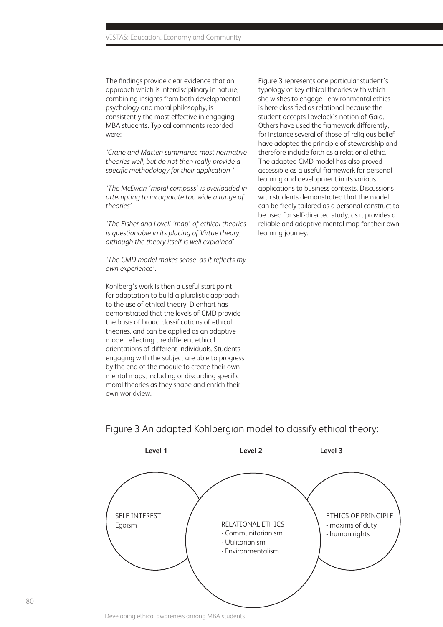The findings provide clear evidence that an approach which is interdisciplinary in nature, combining insights from both developmental psychology and moral philosophy, is consistently the most effective in engaging MBA students. Typical comments recorded were:

*'Crane and Matten summarize most normative theories well, but do not then really provide a specific methodology for their application '*

*'The McEwan 'moral compass' is overloaded in attempting to incorporate too wide a range of theories'* 

*'The Fisher and Lovell 'map' of ethical theories is questionable in its placing of Virtue theory, although the theory itself is well explained'*

*'The CMD model makes sense, as it reflects my own experience'.*

Kohlberg's work is then a useful start point for adaptation to build a pluralistic approach to the use of ethical theory. Dienhart has demonstrated that the levels of CMD provide the basis of broad classifications of ethical theories, and can be applied as an adaptive model reflecting the different ethical orientations of different individuals. Students engaging with the subject are able to progress by the end of the module to create their own mental maps, including or discarding specific moral theories as they shape and enrich their own worldview.

Figure 3 represents one particular student's typology of key ethical theories with which she wishes to engage - environmental ethics is here classified as relational because the student accepts Lovelock's notion of Gaia. Others have used the framework differently, for instance several of those of religious belief have adopted the principle of stewardship and therefore include faith as a relational ethic. The adapted CMD model has also proved accessible as a useful framework for personal learning and development in its various applications to business contexts. Discussions with students demonstrated that the model can be freely tailored as a personal construct to be used for self-directed study, as it provides a reliable and adaptive mental map for their own learning journey.

# **Level 1 Level 2 Level 3**

Figure 3 An adapted Kohlbergian model to classify ethical theory:

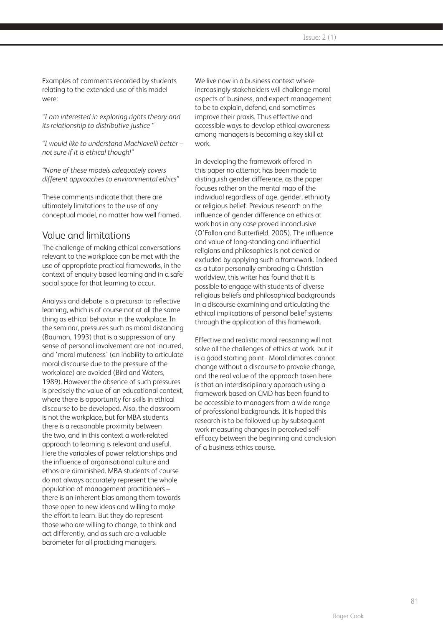Examples of comments recorded by students relating to the extended use of this model were:

*"I am interested in exploring rights theory and its relationship to distributive justice "*

*"I would like to understand Machiavelli better – not sure if it is ethical though!"*

*"None of these models adequately covers different approaches to environmental ethics"* 

These comments indicate that there are ultimately limitations to the use of any conceptual model, no matter how well framed.

#### Value and limitations

The challenge of making ethical conversations relevant to the workplace can be met with the use of appropriate practical frameworks, in the context of enquiry based learning and in a safe social space for that learning to occur.

Analysis and debate is a precursor to reflective learning, which is of course not at all the same thing as ethical behavior in the workplace. In the seminar, pressures such as moral distancing (Bauman, 1993) that is a suppression of any sense of personal involvement are not incurred, and 'moral muteness' (an inability to articulate moral discourse due to the pressure of the workplace) are avoided (Bird and Waters, 1989). However the absence of such pressures is precisely the value of an educational context, where there is opportunity for skills in ethical discourse to be developed. Also, the classroom is not the workplace, but for MBA students there is a reasonable proximity between the two, and in this context a work-related approach to learning is relevant and useful. Here the variables of power relationships and the influence of organisational culture and ethos are diminished. MBA students of course do not always accurately represent the whole population of management practitioners – there is an inherent bias among them towards those open to new ideas and willing to make the effort to learn. But they do represent those who are willing to change, to think and act differently, and as such are a valuable barometer for all practicing managers.

We live now in a business context where increasingly stakeholders will challenge moral aspects of business, and expect management to be to explain, defend, and sometimes improve their praxis. Thus effective and accessible ways to develop ethical awareness among managers is becoming a key skill at work.

In developing the framework offered in this paper no attempt has been made to distinguish gender difference, as the paper focuses rather on the mental map of the individual regardless of age, gender, ethnicity or religious belief. Previous research on the influence of gender difference on ethics at work has in any case proved inconclusive (O'Fallon and Butterfield, 2005). The influence and value of long-standing and influential religions and philosophies is not denied or excluded by applying such a framework. Indeed as a tutor personally embracing a Christian worldview, this writer has found that it is possible to engage with students of diverse religious beliefs and philosophical backgrounds in a discourse examining and articulating the ethical implications of personal belief systems through the application of this framework.

Effective and realistic moral reasoning will not solve all the challenges of ethics at work, but it is a good starting point. Moral climates cannot change without a discourse to provoke change, and the real value of the approach taken here is that an interdisciplinary approach using a framework based on CMD has been found to be accessible to managers from a wide range of professional backgrounds. It is hoped this research is to be followed up by subsequent work measuring changes in perceived selfefficacy between the beginning and conclusion of a business ethics course.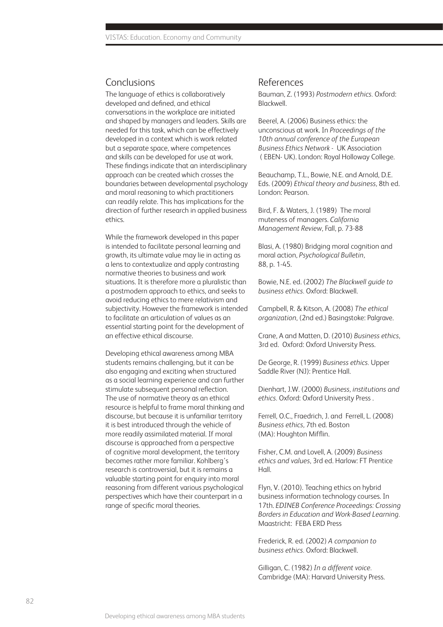#### **Conclusions**

The language of ethics is collaboratively developed and defined, and ethical conversations in the workplace are initiated and shaped by managers and leaders. Skills are needed for this task, which can be effectively developed in a context which is work related but a separate space, where competences and skills can be developed for use at work. These findings indicate that an interdisciplinary approach can be created which crosses the boundaries between developmental psychology and moral reasoning to which practitioners can readily relate. This has implications for the direction of further research in applied business ethics.

While the framework developed in this paper is intended to facilitate personal learning and growth, its ultimate value may lie in acting as a lens to contextualize and apply contrasting normative theories to business and work situations. It is therefore more a pluralistic than a postmodern approach to ethics, and seeks to avoid reducing ethics to mere relativism and subjectivity. However the framework is intended to facilitate an articulation of values as an essential starting point for the development of an effective ethical discourse.

Developing ethical awareness among MBA students remains challenging, but it can be also engaging and exciting when structured as a social learning experience and can further stimulate subsequent personal reflection. The use of normative theory as an ethical resource is helpful to frame moral thinking and discourse, but because it is unfamiliar territory it is best introduced through the vehicle of more readily assimilated material. If moral discourse is approached from a perspective of cognitive moral development, the territory becomes rather more familiar. Kohlberg's research is controversial, but it is remains a valuable starting point for enquiry into moral reasoning from different various psychological perspectives which have their counterpart in a range of specific moral theories.

#### References

Bauman, Z. (1993) *Postmodern ethics.* Oxford: Blackwell.

Beerel, A. (2006) Business ethics: the unconscious at work. In *Proceedings of the 10th annual conference of the European Business Ethics Network* - UK Association ( EBEN- UK). London: Royal Holloway College.

Beauchamp, T.L., Bowie, N.E. and Arnold, D.E. Eds. (2009) *Ethical theory and business,* 8th ed. London: Pearson.

Bird, F. & Waters, J. (1989) The moral muteness of managers. *California Management Review*, Fall, p. 73-88

Blasi, A. (1980) Bridging moral cognition and moral action, *Psychological Bulletin,*  88, p. 1-45.

Bowie, N.E. ed. (2002) *The Blackwell guide to business ethics.* Oxford: Blackwell.

Campbell, R. & Kitson, A. (2008) *The ethical organization*, (2nd ed.) Basingstoke: Palgrave.

Crane, A and Matten, D. (2010) *Business ethics,*  3rd ed. Oxford: Oxford University Press.

De George, R. (1999) *Business ethics.* Upper Saddle River (NJ): Prentice Hall.

Dienhart, J.W. (2000) *Business, institutions and ethics.* Oxford: Oxford University Press .

Ferrell, O.C., Fraedrich, J. and Ferrell, L. (2008) *Business ethics,* 7th ed. Boston (MA): Houghton Mifflin.

Fisher, C.M. and Lovell, A. (2009) *Business ethics and values*, 3rd ed. Harlow: FT Prentice Hall.

Flyn, V. (2010). Teaching ethics on hybrid business information technology courses. In 17th. *EDINEB Conference Proceedings: Crossing Borders in Education and Work-Based Learning.*  Maastricht: FEBA ERD Press

Frederick, R. ed. (2002) *A companion to business ethics.* Oxford: Blackwell.

Gilligan, C. (1982) *In a different voice.*  Cambridge (MA): Harvard University Press.